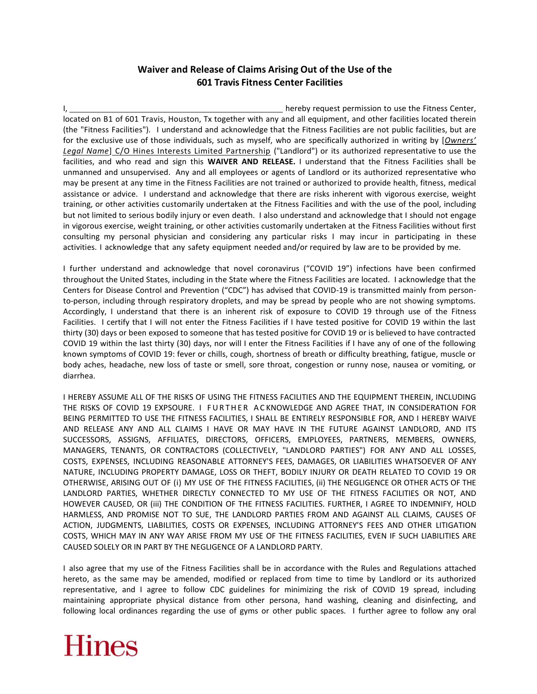## **Waiver and Release of Claims Arising Out of the Use of the 601 Travis Fitness Center Facilities**

I, hereby request permission to use the Fitness Center,  $\blacksquare$ located on B1 of 601 Travis, Houston, Tx together with any and all equipment, and other facilities located therein (the "Fitness Facilities"). I understand and acknowledge that the Fitness Facilities are not public facilities, but are for the exclusive use of those individuals, such as myself, who are specifically authorized in writing by [*Owners' Legal Name*] C/O Hines Interests Limited Partnership ("Landlord") or its authorized representative to use the facilities, and who read and sign this **WAIVER AND RELEASE.** I understand that the Fitness Facilities shall be unmanned and unsupervised. Any and all employees or agents of Landlord or its authorized representative who may be present at any time in the Fitness Facilities are not trained or authorized to provide health, fitness, medical assistance or advice. I understand and acknowledge that there are risks inherent with vigorous exercise, weight training, or other activities customarily undertaken at the Fitness Facilities and with the use of the pool, including but not limited to serious bodily injury or even death. I also understand and acknowledge that I should not engage in vigorous exercise, weight training, or other activities customarily undertaken at the Fitness Facilities without first consulting my personal physician and considering any particular risks I may incur in participating in these activities. I acknowledge that any safety equipment needed and/or required by law are to be provided by me.

I further understand and acknowledge that novel coronavirus ("COVID 19") infections have been confirmed throughout the United States, including in the State where the Fitness Facilities are located. I acknowledge that the Centers for Disease Control and Prevention ("CDC") has advised that COVID-19 is transmitted mainly from personto-person, including through respiratory droplets, and may be spread by people who are not showing symptoms. Accordingly, I understand that there is an inherent risk of exposure to COVID 19 through use of the Fitness Facilities. I certify that I will not enter the Fitness Facilities if I have tested positive for COVID 19 within the last thirty (30) days or been exposed to someone that has tested positive for COVID 19 or is believed to have contracted COVID 19 within the last thirty (30) days, nor will I enter the Fitness Facilities if I have any of one of the following known symptoms of COVID 19: fever or chills, cough, shortness of breath or difficulty breathing, fatigue, muscle or body aches, headache, new loss of taste or smell, sore throat, congestion or runny nose, nausea or vomiting, or diarrhea.

I HEREBY ASSUME ALL OF THE RISKS OF USING THE FITNESS FACILITIES AND THE EQUIPMENT THEREIN, INCLUDING THE RISKS OF COVID 19 EXPSOURE. I FURTHER ACKNOWLEDGE AND AGREE THAT, IN CONSIDERATION FOR BEING PERMITTED TO USE THE FITNESS FACILITIES, I SHALL BE ENTIRELY RESPONSIBLE FOR, AND I HEREBY WAIVE AND RELEASE ANY AND ALL CLAIMS I HAVE OR MAY HAVE IN THE FUTURE AGAINST LANDLORD, AND ITS SUCCESSORS, ASSIGNS, AFFILIATES, DIRECTORS, OFFICERS, EMPLOYEES, PARTNERS, MEMBERS, OWNERS, MANAGERS, TENANTS, OR CONTRACTORS (COLLECTIVELY, "LANDLORD PARTIES") FOR ANY AND ALL LOSSES, COSTS, EXPENSES, INCLUDING REASONABLE ATTORNEY'S FEES, DAMAGES, OR LIABILITIES WHATSOEVER OF ANY NATURE, INCLUDING PROPERTY DAMAGE, LOSS OR THEFT, BODILY INJURY OR DEATH RELATED TO COVID 19 OR OTHERWISE, ARISING OUT OF (i) MY USE OF THE FITNESS FACILITIES, (ii) THE NEGLIGENCE OR OTHER ACTS OF THE LANDLORD PARTIES, WHETHER DIRECTLY CONNECTED TO MY USE OF THE FITNESS FACILITIES OR NOT, AND HOWEVER CAUSED, OR (iii) THE CONDITION OF THE FITNESS FACILITIES. FURTHER, I AGREE TO INDEMNIFY, HOLD HARMLESS, AND PROMISE NOT TO SUE, THE LANDLORD PARTIES FROM AND AGAINST ALL CLAIMS, CAUSES OF ACTION, JUDGMENTS, LIABILITIES, COSTS OR EXPENSES, INCLUDING ATTORNEY'S FEES AND OTHER LITIGATION COSTS, WHICH MAY IN ANY WAY ARISE FROM MY USE OF THE FITNESS FACILITIES, EVEN IF SUCH LIABILITIES ARE CAUSED SOLELY OR IN PART BY THE NEGLIGENCE OF A LANDLORD PARTY.

I also agree that my use of the Fitness Facilities shall be in accordance with the Rules and Regulations attached hereto, as the same may be amended, modified or replaced from time to time by Landlord or its authorized representative, and I agree to follow CDC guidelines for minimizing the risk of COVID 19 spread, including maintaining appropriate physical distance from other persona, hand washing, cleaning and disinfecting, and following local ordinances regarding the use of gyms or other public spaces. I further agree to follow any oral

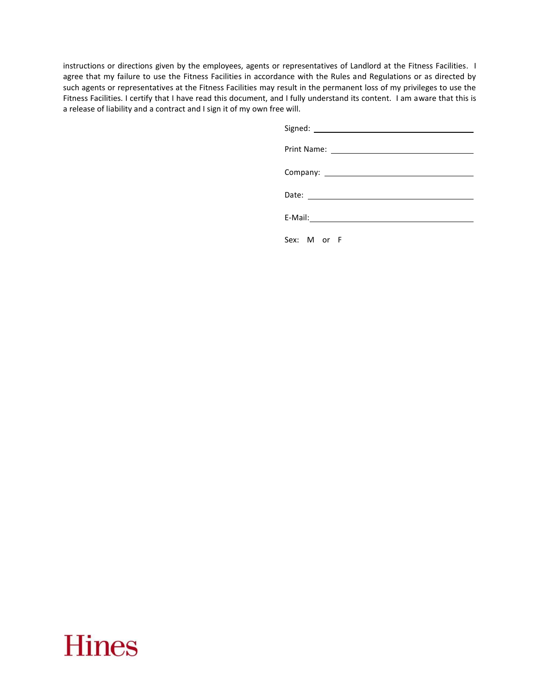instructions or directions given by the employees, agents or representatives of Landlord at the Fitness Facilities. I agree that my failure to use the Fitness Facilities in accordance with the Rules and Regulations or as directed by such agents or representatives at the Fitness Facilities may result in the permanent loss of my privileges to use the Fitness Facilities. I certify that I have read this document, and I fully understand its content. I am aware that this is a release of liability and a contract and I sign it of my own free will.

| Sex: M or F |
|-------------|